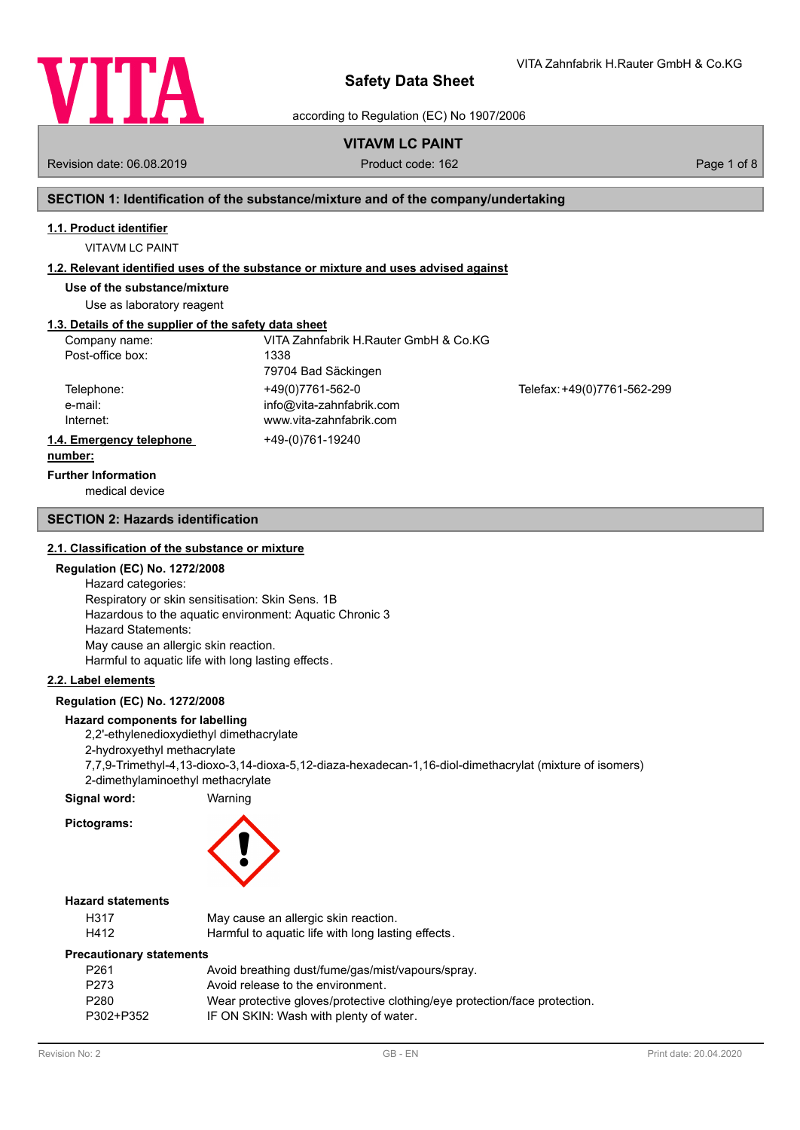

VITA Zahnfabrik H.Rauter GmbH & Co.KG

according to Regulation (EC) No 1907/2006

# **VITAVM LC PAINT**

Revision date: 06.08.2019 **Product code: 162** Product code: 162 **Page 1 of 8** Page 1 of 8

# **SECTION 1: Identification of the substance/mixture and of the company/undertaking**

### **1.1. Product identifier**

VITAVM LC PAINT

### **1.2. Relevant identified uses of the substance or mixture and uses advised against**

**Use of the substance/mixture**

Use as laboratory reagent

# **1.3. Details of the supplier of the safety data sheet**

| Company name:            | VITA Zahnfabrik H.Rauter GmbH & Co.KG |                             |
|--------------------------|---------------------------------------|-----------------------------|
| Post-office box:         | 1338                                  |                             |
|                          | 79704 Bad Säckingen                   |                             |
| Telephone:               | +49(0)7761-562-0                      | Telefax: +49(0)7761-562-299 |
| e-mail:                  | info@vita-zahnfabrik.com              |                             |
| Internet:                | www.vita-zahnfabrik.com               |                             |
| 1.4. Emergency telephone | +49-(0)761-19240                      |                             |
| numbori                  |                                       |                             |

#### **number:**

**Further Information**

medical device

### **SECTION 2: Hazards identification**

### **2.1. Classification of the substance or mixture**

### **Regulation (EC) No. 1272/2008**

Hazard categories: Respiratory or skin sensitisation: Skin Sens. 1B Hazardous to the aquatic environment: Aquatic Chronic 3 Hazard Statements: May cause an allergic skin reaction. Harmful to aquatic life with long lasting effects.

### **2.2. Label elements**

# **Regulation (EC) No. 1272/2008**

### **Hazard components for labelling**

2,2'-ethylenedioxydiethyl dimethacrylate

2-hydroxyethyl methacrylate

7,7,9-Trimethyl-4,13-dioxo-3,14-dioxa-5,12-diaza-hexadecan-1,16-diol-dimethacrylat (mixture of isomers) 2-dimethylaminoethyl methacrylate

### **Signal word:** Warning

**Pictograms:**

### **Hazard statements**

| H317 | May cause an allergic skin reaction.               |
|------|----------------------------------------------------|
| H412 | Harmful to aquatic life with long lasting effects. |

### **Precautionary statements**

| P <sub>261</sub> | Avoid breathing dust/fume/gas/mist/vapours/spray.                          |
|------------------|----------------------------------------------------------------------------|
| P <sub>273</sub> | Avoid release to the environment.                                          |
| P <sub>280</sub> | Wear protective gloves/protective clothing/eye protection/face protection. |
| P302+P352        | IF ON SKIN: Wash with plenty of water.                                     |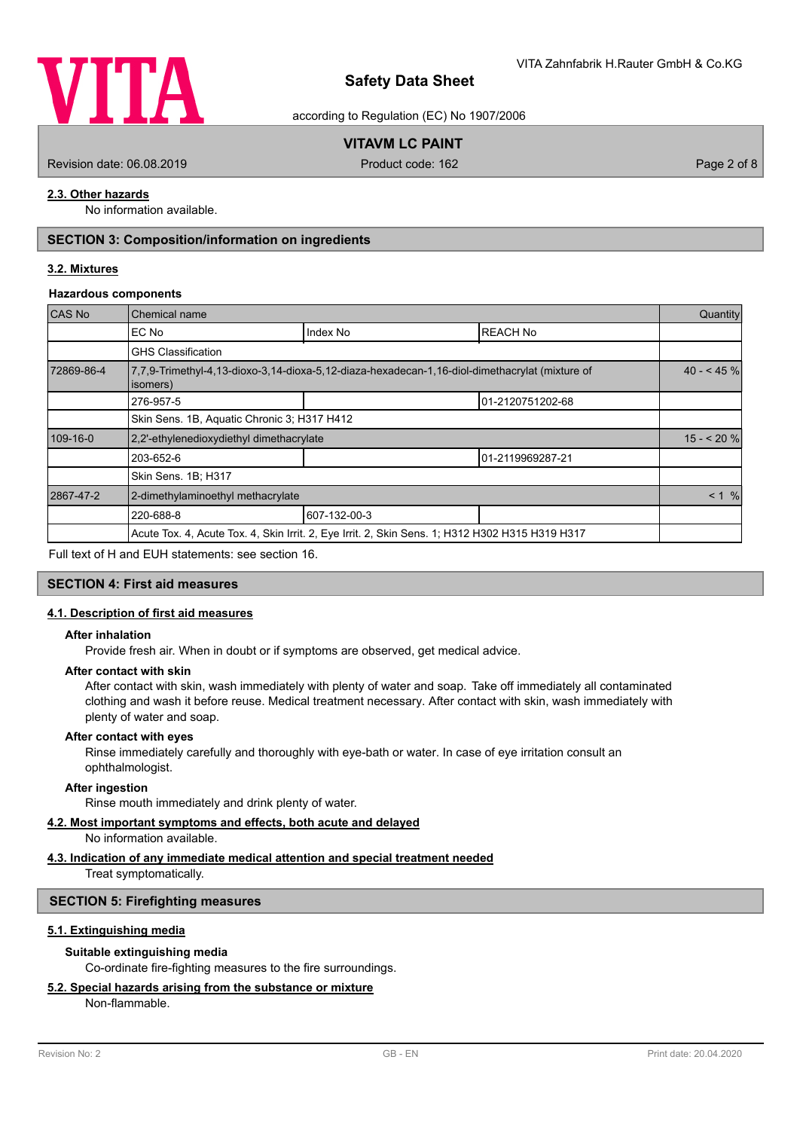

according to Regulation (EC) No 1907/2006

# **VITAVM LC PAINT**

Revision date: 06.08.2019 **Product code: 162** Product code: 162 **Page 2 of 8** Page 2 of 8

# **2.3. Other hazards**

No information available.

# **SECTION 3: Composition/information on ingredients**

## **3.2. Mixtures**

#### **Hazardous components**

| CAS No     | Chemical name                                                                                              |              |                  | Quantity   |
|------------|------------------------------------------------------------------------------------------------------------|--------------|------------------|------------|
|            | EC No                                                                                                      | Index No     | <b>REACH No</b>  |            |
|            | <b>GHS Classification</b>                                                                                  |              |                  |            |
| 72869-86-4 | 7,7,9-Trimethyl-4,13-dioxo-3,14-dioxa-5,12-diaza-hexadecan-1,16-diol-dimethacrylat (mixture of<br>isomers) |              |                  | $40 - 45%$ |
|            | 276-957-5                                                                                                  |              | 01-2120751202-68 |            |
|            | Skin Sens. 1B, Aquatic Chronic 3; H317 H412                                                                |              |                  |            |
| 109-16-0   | 2.2'-ethylenedioxydiethyl dimethacrylate                                                                   |              |                  | $15 - 20%$ |
|            | 203-652-6                                                                                                  |              | 01-2119969287-21 |            |
|            | Skin Sens. 1B; H317                                                                                        |              |                  |            |
| 2867-47-2  | 2-dimethylaminoethyl methacrylate                                                                          |              |                  | < 1 %      |
|            | 220-688-8                                                                                                  | 607-132-00-3 |                  |            |
|            | Acute Tox. 4, Acute Tox. 4, Skin Irrit. 2, Eye Irrit. 2, Skin Sens. 1; H312 H302 H315 H319 H317            |              |                  |            |
|            |                                                                                                            |              |                  |            |

Full text of H and EUH statements: see section 16.

### **SECTION 4: First aid measures**

### **4.1. Description of first aid measures**

#### **After inhalation**

Provide fresh air. When in doubt or if symptoms are observed, get medical advice.

### **After contact with skin**

After contact with skin, wash immediately with plenty of water and soap. Take off immediately all contaminated clothing and wash it before reuse. Medical treatment necessary. After contact with skin, wash immediately with plenty of water and soap.

#### **After contact with eyes**

Rinse immediately carefully and thoroughly with eye-bath or water. In case of eye irritation consult an ophthalmologist.

### **After ingestion**

Rinse mouth immediately and drink plenty of water.

# **4.2. Most important symptoms and effects, both acute and delayed**

No information available.

# **4.3. Indication of any immediate medical attention and special treatment needed**

Treat symptomatically.

### **SECTION 5: Firefighting measures**

### **5.1. Extinguishing media**

### **Suitable extinguishing media**

Co-ordinate fire-fighting measures to the fire surroundings.

# **5.2. Special hazards arising from the substance or mixture**

Non-flammable.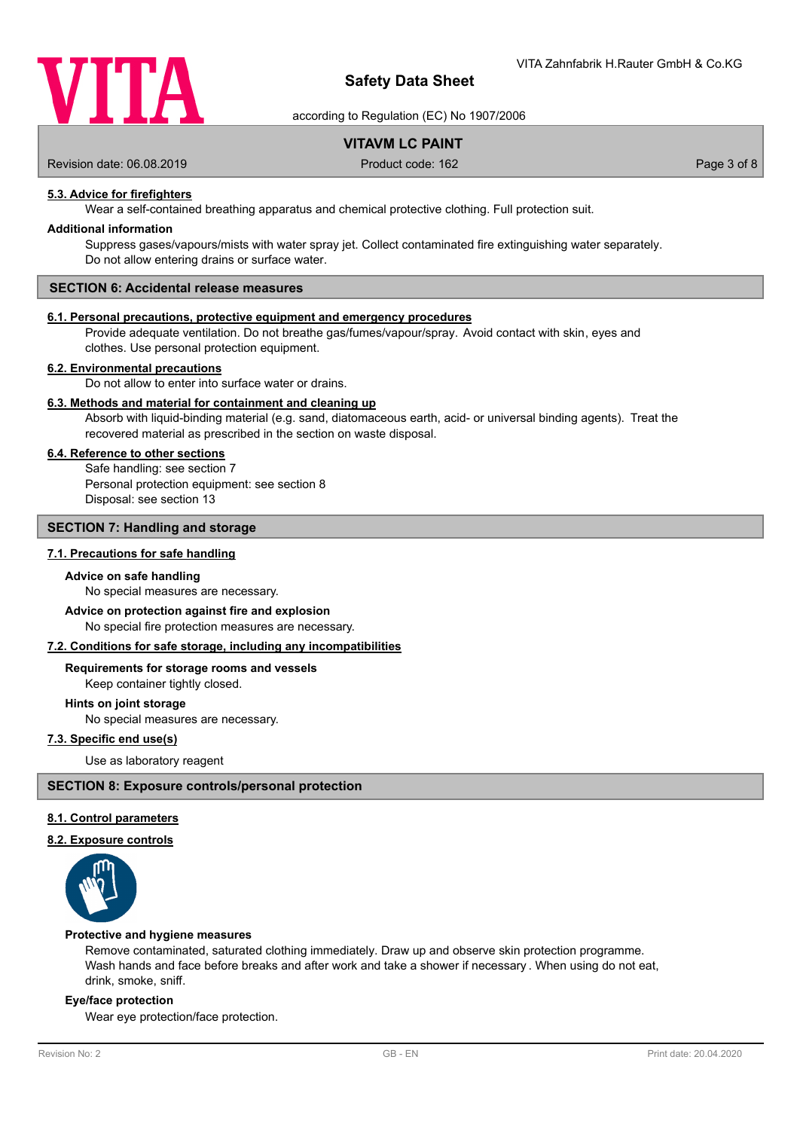

according to Regulation (EC) No 1907/2006

# **VITAVM LC PAINT**

Revision date: 06.08.2019 **Product code: 162** Product code: 162 **Page 3 of 8** Page 3 of 8

# **5.3. Advice for firefighters**

Wear a self-contained breathing apparatus and chemical protective clothing. Full protection suit.

### **Additional information**

Suppress gases/vapours/mists with water spray jet. Collect contaminated fire extinguishing water separately. Do not allow entering drains or surface water.

# **SECTION 6: Accidental release measures**

### **6.1. Personal precautions, protective equipment and emergency procedures**

Provide adequate ventilation. Do not breathe gas/fumes/vapour/spray. Avoid contact with skin, eyes and clothes. Use personal protection equipment.

### **6.2. Environmental precautions**

Do not allow to enter into surface water or drains.

### **6.3. Methods and material for containment and cleaning up**

Absorb with liquid-binding material (e.g. sand, diatomaceous earth, acid- or universal binding agents). Treat the recovered material as prescribed in the section on waste disposal.

### **6.4. Reference to other sections**

Safe handling: see section 7 Personal protection equipment: see section 8 Disposal: see section 13

# **SECTION 7: Handling and storage**

### **7.1. Precautions for safe handling**

### **Advice on safe handling**

No special measures are necessary.

# **Advice on protection against fire and explosion**

No special fire protection measures are necessary.

### **7.2. Conditions for safe storage, including any incompatibilities**

#### **Requirements for storage rooms and vessels**

Keep container tightly closed.

**Hints on joint storage**

No special measures are necessary.

# **7.3. Specific end use(s)**

Use as laboratory reagent

### **SECTION 8: Exposure controls/personal protection**

### **8.1. Control parameters**

### **8.2. Exposure controls**



#### **Protective and hygiene measures**

Remove contaminated, saturated clothing immediately. Draw up and observe skin protection programme. Wash hands and face before breaks and after work and take a shower if necessary . When using do not eat, drink, smoke, sniff.

### **Eye/face protection**

Wear eye protection/face protection.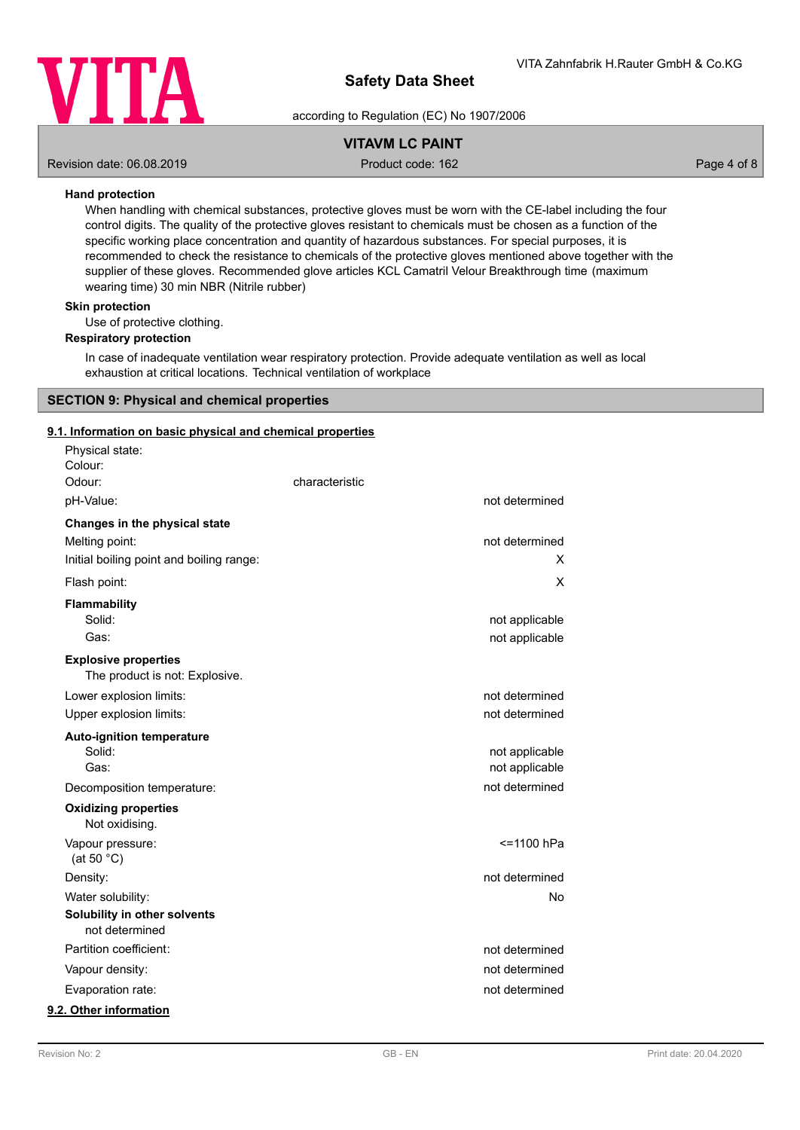

according to Regulation (EC) No 1907/2006

# **VITAVM LC PAINT**

Revision date: 06.08.2019 **Product code: 162** Product code: 162 **Page 4 of 8** Page 4 of 8

### **Hand protection**

When handling with chemical substances, protective gloves must be worn with the CE-label including the four control digits. The quality of the protective gloves resistant to chemicals must be chosen as a function of the specific working place concentration and quantity of hazardous substances. For special purposes, it is recommended to check the resistance to chemicals of the protective gloves mentioned above together with the supplier of these gloves. Recommended glove articles KCL Camatril Velour Breakthrough time (maximum wearing time) 30 min NBR (Nitrile rubber)

# **Skin protection**

Use of protective clothing.

### **Respiratory protection**

In case of inadequate ventilation wear respiratory protection. Provide adequate ventilation as well as local exhaustion at critical locations. Technical ventilation of workplace

# **SECTION 9: Physical and chemical properties**

### **9.1. Information on basic physical and chemical properties**

| Physical state:<br>Colour:                                    |                |                |
|---------------------------------------------------------------|----------------|----------------|
| Odour:                                                        | characteristic |                |
| pH-Value:                                                     |                | not determined |
| Changes in the physical state                                 |                |                |
| Melting point:                                                |                | not determined |
| Initial boiling point and boiling range:                      |                | х              |
| Flash point:                                                  |                | Χ              |
| <b>Flammability</b>                                           |                |                |
| Solid:                                                        |                | not applicable |
| Gas:                                                          |                | not applicable |
| <b>Explosive properties</b><br>The product is not: Explosive. |                |                |
| Lower explosion limits:                                       |                | not determined |
| Upper explosion limits:                                       |                | not determined |
| <b>Auto-ignition temperature</b>                              |                |                |
| Solid:                                                        |                | not applicable |
| Gas:                                                          |                | not applicable |
| Decomposition temperature:                                    |                | not determined |
| <b>Oxidizing properties</b><br>Not oxidising.                 |                |                |
| Vapour pressure:<br>(at 50 $°C$ )                             |                | <=1100 hPa     |
| Density:                                                      |                | not determined |
| Water solubility:                                             |                | No             |
| Solubility in other solvents<br>not determined                |                |                |
| Partition coefficient:                                        |                | not determined |
| Vapour density:                                               |                | not determined |
| Evaporation rate:                                             |                | not determined |
| 9.2. Other information                                        |                |                |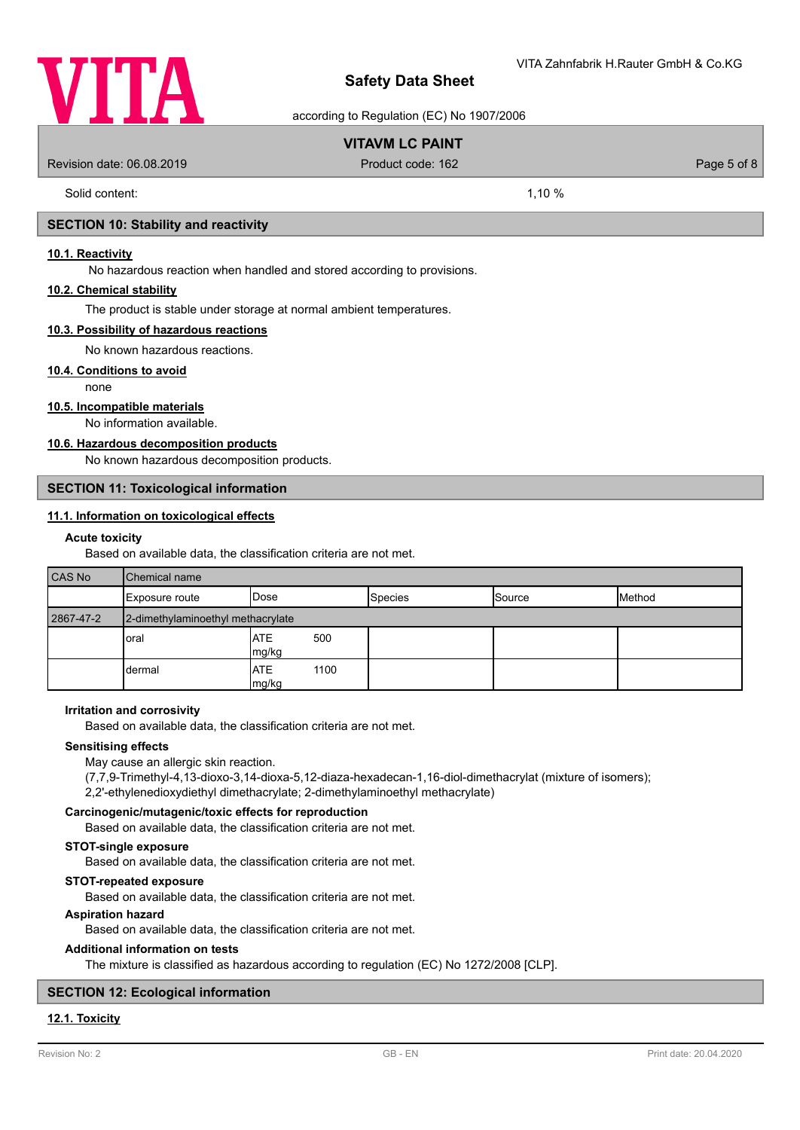

according to Regulation (EC) No 1907/2006

# **VITAVM LC PAINT**

Revision date: 06.08.2019 **Product code: 162** Product code: 162 **Page 5 of 8** Page 5 of 8

Solid content: 1,10 %

### **SECTION 10: Stability and reactivity**

### **10.1. Reactivity**

No hazardous reaction when handled and stored according to provisions.

### **10.2. Chemical stability**

The product is stable under storage at normal ambient temperatures.

### **10.3. Possibility of hazardous reactions**

No known hazardous reactions.

### **10.4. Conditions to avoid**

none

### **10.5. Incompatible materials**

No information available.

# **10.6. Hazardous decomposition products**

No known hazardous decomposition products.

### **SECTION 11: Toxicological information**

# **11.1. Information on toxicological effects**

### **Acute toxicity**

Based on available data, the classification criteria are not met.

| <b>CAS No</b> | <b>Chemical name</b>              |                       |                |               |        |
|---------------|-----------------------------------|-----------------------|----------------|---------------|--------|
|               | Exposure route                    | <b>IDose</b>          | <b>Species</b> | <b>Source</b> | Method |
| 2867-47-2     | 2-dimethylaminoethyl methacrylate |                       |                |               |        |
|               | oral                              | IATE<br>500<br>mg/kg  |                |               |        |
|               | dermal                            | IATE<br>1100<br>mg/kg |                |               |        |

### **Irritation and corrosivity**

Based on available data, the classification criteria are not met.

### **Sensitising effects**

May cause an allergic skin reaction.

(7,7,9-Trimethyl-4,13-dioxo-3,14-dioxa-5,12-diaza-hexadecan-1,16-diol-dimethacrylat (mixture of isomers);

2,2'-ethylenedioxydiethyl dimethacrylate; 2-dimethylaminoethyl methacrylate)

### **Carcinogenic/mutagenic/toxic effects for reproduction**

Based on available data, the classification criteria are not met.

# **STOT-single exposure**

Based on available data, the classification criteria are not met.

### **STOT-repeated exposure**

Based on available data, the classification criteria are not met.

### **Aspiration hazard**

Based on available data, the classification criteria are not met.

# **Additional information on tests**

The mixture is classified as hazardous according to regulation (EC) No 1272/2008 [CLP].

# **SECTION 12: Ecological information**

# **12.1. Toxicity**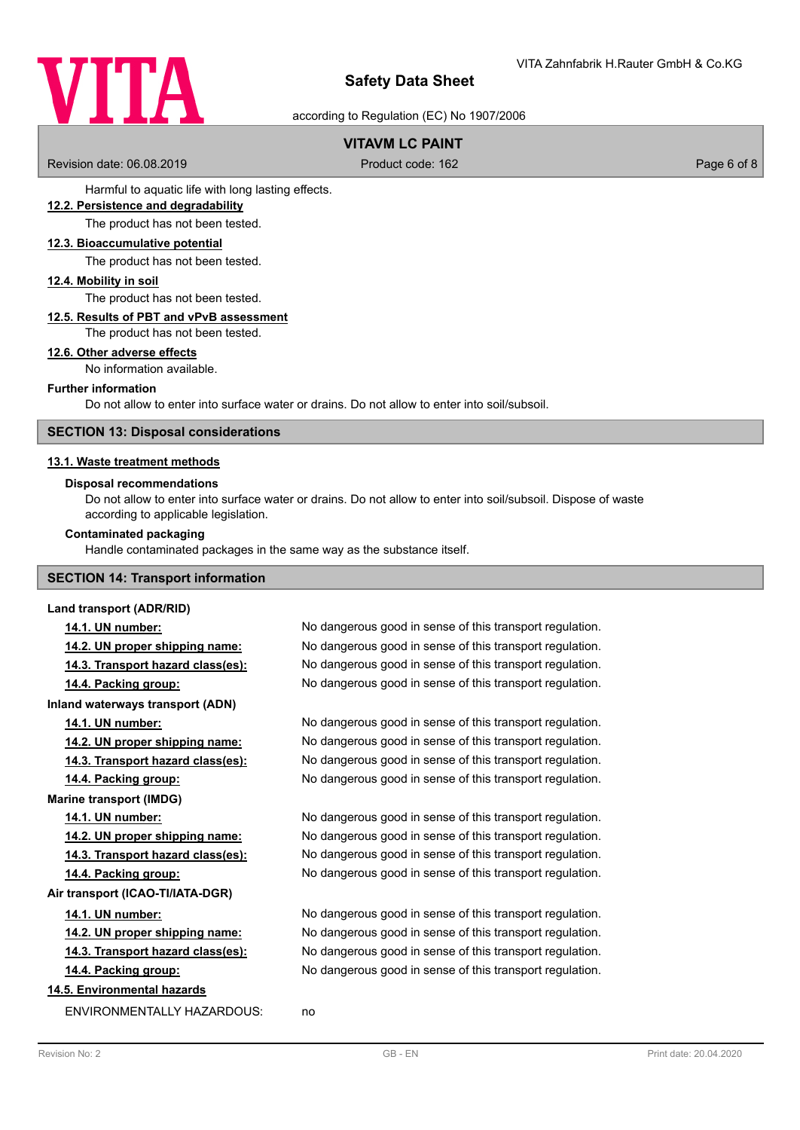

according to Regulation (EC) No 1907/2006

# **VITAVM LC PAINT**

Revision date: 06.08.2019 **Product code: 162** Product code: 162 **Page 6 of 8** Page 6 of 8

Harmful to aquatic life with long lasting effects.

### **12.2. Persistence and degradability**

The product has not been tested.

### **12.3. Bioaccumulative potential**

The product has not been tested.

### **12.4. Mobility in soil**

The product has not been tested.

### **12.5. Results of PBT and vPvB assessment**

The product has not been tested.

#### **12.6. Other adverse effects**

No information available.

### **Further information**

Do not allow to enter into surface water or drains. Do not allow to enter into soil/subsoil.

### **SECTION 13: Disposal considerations**

### **13.1. Waste treatment methods**

#### **Disposal recommendations**

Do not allow to enter into surface water or drains. Do not allow to enter into soil/subsoil. Dispose of waste according to applicable legislation.

### **Contaminated packaging**

Handle contaminated packages in the same way as the substance itself.

# **SECTION 14: Transport information**

### **Land transport (ADR/RID)**

**Inland waterways transport (ADN)**

**Marine transport (IMDG)**

**Air transport (ICAO-TI/IATA-DGR)**

# **14.5. Environmental hazards**

ENVIRONMENTALLY HAZARDOUS: no

**14.1. UN number:** No dangerous good in sense of this transport regulation. **14.2. UN proper shipping name:** No dangerous good in sense of this transport regulation. **14.3. Transport hazard class(es):** No dangerous good in sense of this transport regulation. **14.4. Packing group:** No dangerous good in sense of this transport regulation.

**14.1. UN number:** No dangerous good in sense of this transport regulation. **14.2. UN proper shipping name:** No dangerous good in sense of this transport regulation. **14.3. Transport hazard class(es):** No dangerous good in sense of this transport regulation. **14.4. Packing group:** No dangerous good in sense of this transport regulation.

**14.1. UN number:** No dangerous good in sense of this transport regulation. **14.2. UN proper shipping name:** No dangerous good in sense of this transport regulation. **14.3. Transport hazard class(es):** No dangerous good in sense of this transport regulation. **14.4. Packing group:** No dangerous good in sense of this transport regulation.

**14.1. UN number:** No dangerous good in sense of this transport regulation. **14.2. UN proper shipping name:** No dangerous good in sense of this transport regulation. **14.3. Transport hazard class(es):** No dangerous good in sense of this transport regulation. **14.4. Packing group:** No dangerous good in sense of this transport regulation.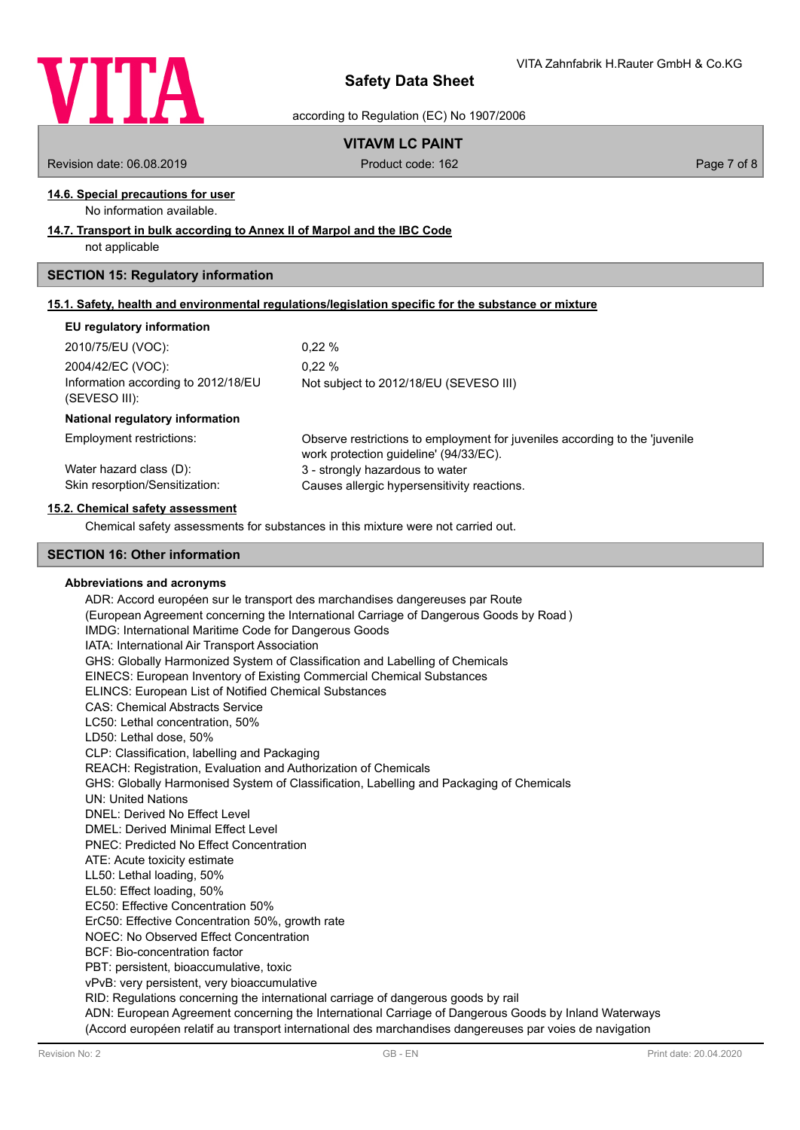

according to Regulation (EC) No 1907/2006

# **VITAVM LC PAINT**

Revision date: 06.08.2019 **Product code: 162** Product code: 162 **Page 7 of 8** Page 7 of 8

# **14.6. Special precautions for user**

No information available.

### **14.7. Transport in bulk according to Annex II of Marpol and the IBC Code**

not applicable

### **SECTION 15: Regulatory information**

| 15.1. Safety, health and environmental requlations/legislation specific for the substance or mixture |  |
|------------------------------------------------------------------------------------------------------|--|
|                                                                                                      |  |

### **EU regulatory information**

| 2010/75/EU (VOC):                   | $0.22 \%$                              |
|-------------------------------------|----------------------------------------|
| 2004/42/EC (VOC):                   | $0.22 \%$                              |
| Information according to 2012/18/EU | Not subject to 2012/18/EU (SEVESO III) |
| (SEVESO III):                       |                                        |

### **National regulatory information**

Employment restrictions:

Observe restrictions to employment for juveniles according to the 'juvenile work protection guideline' (94/33/EC). Water hazard class (D): 3 - strongly hazardous to water Skin resorption/Sensitization: Causes allergic hypersensitivity reactions.

### **15.2. Chemical safety assessment**

Chemical safety assessments for substances in this mixture were not carried out.

### **SECTION 16: Other information**

### **Abbreviations and acronyms**

ADR: Accord européen sur le transport des marchandises dangereuses par Route (European Agreement concerning the International Carriage of Dangerous Goods by Road ) IMDG: International Maritime Code for Dangerous Goods IATA: International Air Transport Association GHS: Globally Harmonized System of Classification and Labelling of Chemicals EINECS: European Inventory of Existing Commercial Chemical Substances ELINCS: European List of Notified Chemical Substances CAS: Chemical Abstracts Service LC50: Lethal concentration, 50% LD50: Lethal dose, 50% CLP: Classification, labelling and Packaging REACH: Registration, Evaluation and Authorization of Chemicals GHS: Globally Harmonised System of Classification, Labelling and Packaging of Chemicals UN: United Nations DNEL: Derived No Effect Level DMEL: Derived Minimal Effect Level PNEC: Predicted No Effect Concentration ATE: Acute toxicity estimate LL50: Lethal loading, 50% EL50: Effect loading, 50% EC50: Effective Concentration 50% ErC50: Effective Concentration 50%, growth rate NOEC: No Observed Effect Concentration BCF: Bio-concentration factor PBT: persistent, bioaccumulative, toxic vPvB: very persistent, very bioaccumulative RID: Regulations concerning the international carriage of dangerous goods by rail ADN: European Agreement concerning the International Carriage of Dangerous Goods by Inland Waterways

(Accord européen relatif au transport international des marchandises dangereuses par voies de navigation